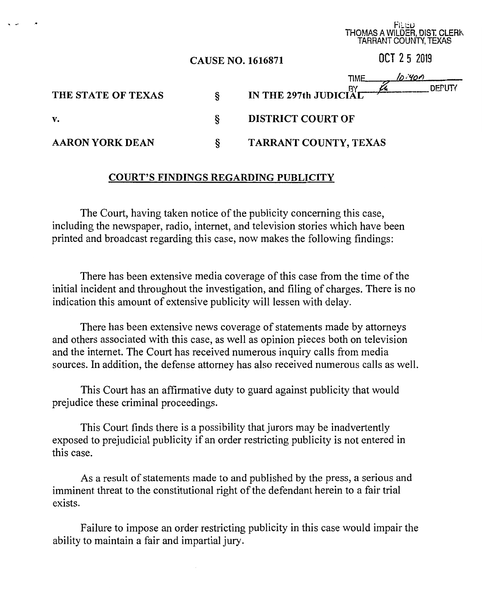|                        |                          | TAHHANT COUNTY, TEXAS           |
|------------------------|--------------------------|---------------------------------|
|                        | <b>CAUSE NO. 1616871</b> | OCT 25 2019                     |
|                        |                          | <u>lo 400</u><br><b>TIME</b>    |
| THE STATE OF TEXAS     | ş                        | DEPUTY<br>IN THE 297th JUDICIAL |
| v.                     | ş                        | <b>DISTRICT COURT OF</b>        |
| <b>AARON YORK DEAN</b> | ş                        | TARRANT COUNTY, TEXAS           |

rucu THOMAS A WILDER, DIST. CLERK

## **COURT'S FINDINGS REGARDING PUBLICITY**

The Court, having taken notice of the publicity concerning this case, including the newspaper, radio, internet, and television stories which have been printed and broadcast regarding this case, now makes the following findings:

There has been extensive media coverage of this case from the time of the initial incident and throughout the investigation, and filing of charges. There is no indication this amount of extensive publicity will lessen with delay.

There has been extensive news coverage of statements made by attorneys and others associated with this case, as well as opinion pieces both on television and the internet. The Court has received numerous inquiry calls from media sources. In addition, the defense attorney has also received numerous calls as well.

This Court has an affirmative duty to guard against publicity that would prejudice these criminal proceedings.

This Court finds there is a possibility that jurors may be inadvertently exposed to prejudicial publicity if an order restricting publicity is not entered in this case.

As a result of statements made to and published by the press, a serious and imminent threat to the constitutional right of the defendant herein to a fair trial exists.

Failure to impose an order restricting publicity in this case would impair the ability to maintain a fair and impartial jury.